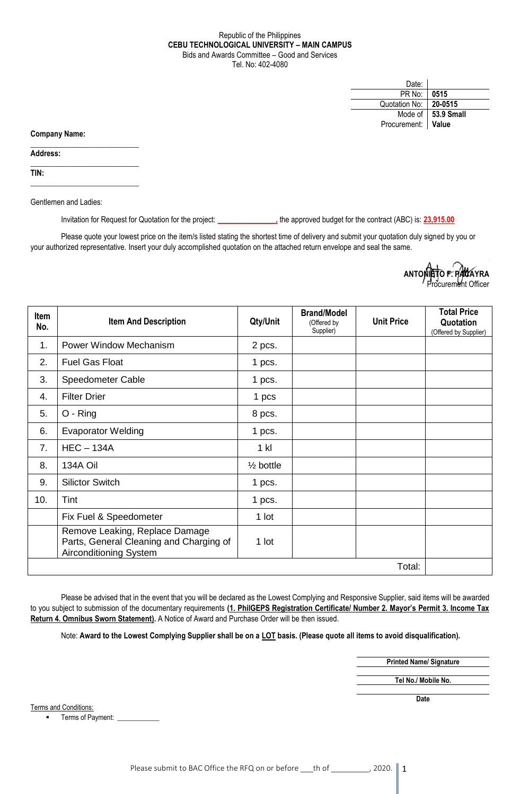## Republic of the Philippines **CEBU TECHNOLOGICAL UNIVERSITY – MAIN CAMPUS** Bids and Awards Committee – Good and Services Tel. No: 402-4080

| Date:              |                      |
|--------------------|----------------------|
| PR No:             | 0515                 |
| Quotation No:      | 20-0515              |
|                    | Mode of   53.9 Small |
| Procurement: Value |                      |

**Company Name:**

**Address:** 

**TIN:**

Gentlemen and Ladies:

 $\_$ 

 $\_$ 

\_\_\_\_\_\_\_\_\_\_\_\_\_\_\_\_\_\_\_\_\_\_\_\_\_\_\_\_

Invitation for Request for Quotation for the project: **\_\_\_\_\_\_\_\_\_\_\_\_\_\_\_,** the approved budget for the contract (ABC) is: **23,915.00**

Please quote your lowest price on the item/s listed stating the shortest time of delivery and submit your quotation duly signed by you or your authorized representative. Insert your duly accomplished quotation on the attached return envelope and seal the same.

> **ANTONIETO F. PACAYRA** curement Officer

| Item<br>No. | <b>Item And Description</b>                                                                         | Qty/Unit             | <b>Brand/Model</b><br>(Offered by<br>Supplier) | <b>Unit Price</b> | <b>Total Price</b><br>Quotation<br>(Offered by Supplier) |
|-------------|-----------------------------------------------------------------------------------------------------|----------------------|------------------------------------------------|-------------------|----------------------------------------------------------|
| 1.          | Power Window Mechanism                                                                              | 2 pcs.               |                                                |                   |                                                          |
| 2.          | <b>Fuel Gas Float</b>                                                                               | 1 pcs.               |                                                |                   |                                                          |
| 3.          | <b>Speedometer Cable</b>                                                                            | 1 pcs.               |                                                |                   |                                                          |
| 4.          | <b>Filter Drier</b>                                                                                 | 1 pcs                |                                                |                   |                                                          |
| 5.          | O - Ring                                                                                            | 8 pcs.               |                                                |                   |                                                          |
| 6.          | <b>Evaporator Welding</b>                                                                           | 1 pcs.               |                                                |                   |                                                          |
| 7.          | $HEC - 134A$                                                                                        | $1$ kl               |                                                |                   |                                                          |
| 8.          | 134A Oil                                                                                            | $\frac{1}{2}$ bottle |                                                |                   |                                                          |
| 9.          | <b>Silictor Switch</b>                                                                              | 1 pcs.               |                                                |                   |                                                          |
| 10.         | Tint                                                                                                | 1 pcs.               |                                                |                   |                                                          |
|             | Fix Fuel & Speedometer                                                                              | 1 lot                |                                                |                   |                                                          |
|             | Remove Leaking, Replace Damage<br>Parts, General Cleaning and Charging of<br>Airconditioning System | 1 lot                |                                                |                   |                                                          |
| Total:      |                                                                                                     |                      |                                                |                   |                                                          |

Please be advised that in the event that you will be declared as the Lowest Complying and Responsive Supplier, said items will be awarded to you subject to submission of the documentary requirements **(1. PhilGEPS Registration Certificate/ Number 2. Mayor's Permit 3. Income Tax Return 4. Omnibus Sworn Statement).** A Notice of Award and Purchase Order will be then issued.

Note: **Award to the Lowest Complying Supplier shall be on a LOT basis. (Please quote all items to avoid disqualification).**

**Printed Name/ Signature Tel No./ Mobile No.**

**Date**

Terms and Conditions:

Terms of Payment: \_